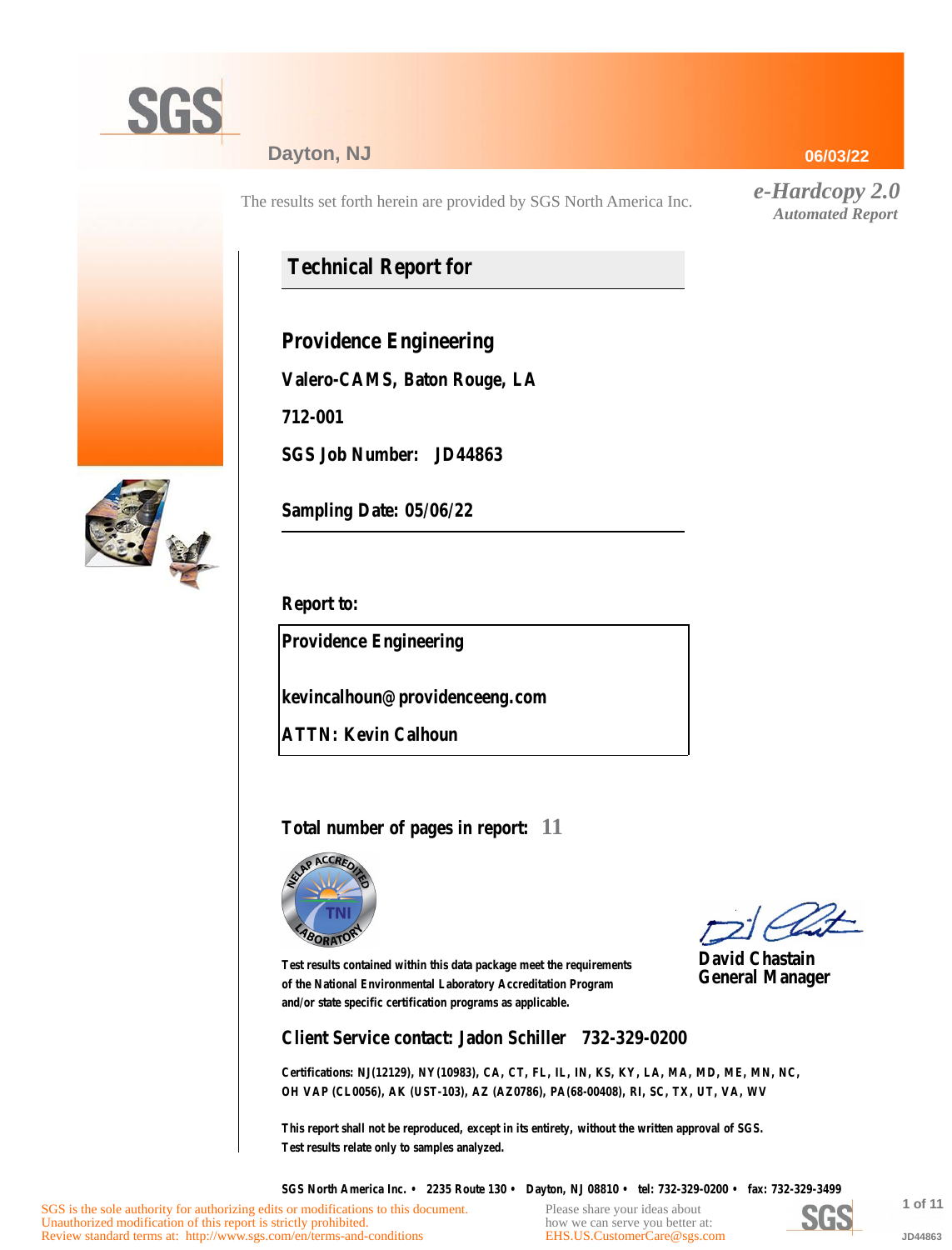

### **Dayton, NJ**

The results set forth herein are provided by SGS North America Inc.

## **Technical Report for**

**Providence Engineering**

**Valero-CAMS, Baton Rouge, LA**

**712-001**

**SGS Job Number: JD44863**



**Sampling Date: 05/06/22**

**Report to:**

**Providence Engineering**

**kevincalhoun@providenceeng.com**

**ATTN: Kevin Calhoun**

### **Total number of pages in report: 11**



**David Chastain General Manager**

**Test results contained within this data package meet the requirements of the National Environmental Laboratory Accreditation Program and/or state specific certification programs as applicable.**

**Client Service contact: Jadon Schiller 732-329-0200**

**Certifications: NJ(12129), NY(10983), CA, CT, FL, IL, IN, KS, KY, LA, MA, MD, ME, MN, NC, OH VAP (CL0056), AK (UST-103), AZ (AZ0786), PA(68-00408), RI, SC, TX, UT, VA, WV**

**This report shall not be reproduced, except in its entirety, without the written approval of SGS. Test results relate only to samples analyzed.**

**SGS North America Inc. • 2235 Route 130 • Dayton, NJ 08810 • tel: 732-329-0200 • fax: 732-329-3499**

Please share your ideas about how we can serve you better at: [EHS.US.CustomerCare@sgs.com](mailto:EHS.US.CustomerCare@sgs.com?subject=Customer care improvement idea (report JD44863))



**1 of 11 JD44863**

#### **06/03/22**

*e-Hardcopy 2.0 Automated Report*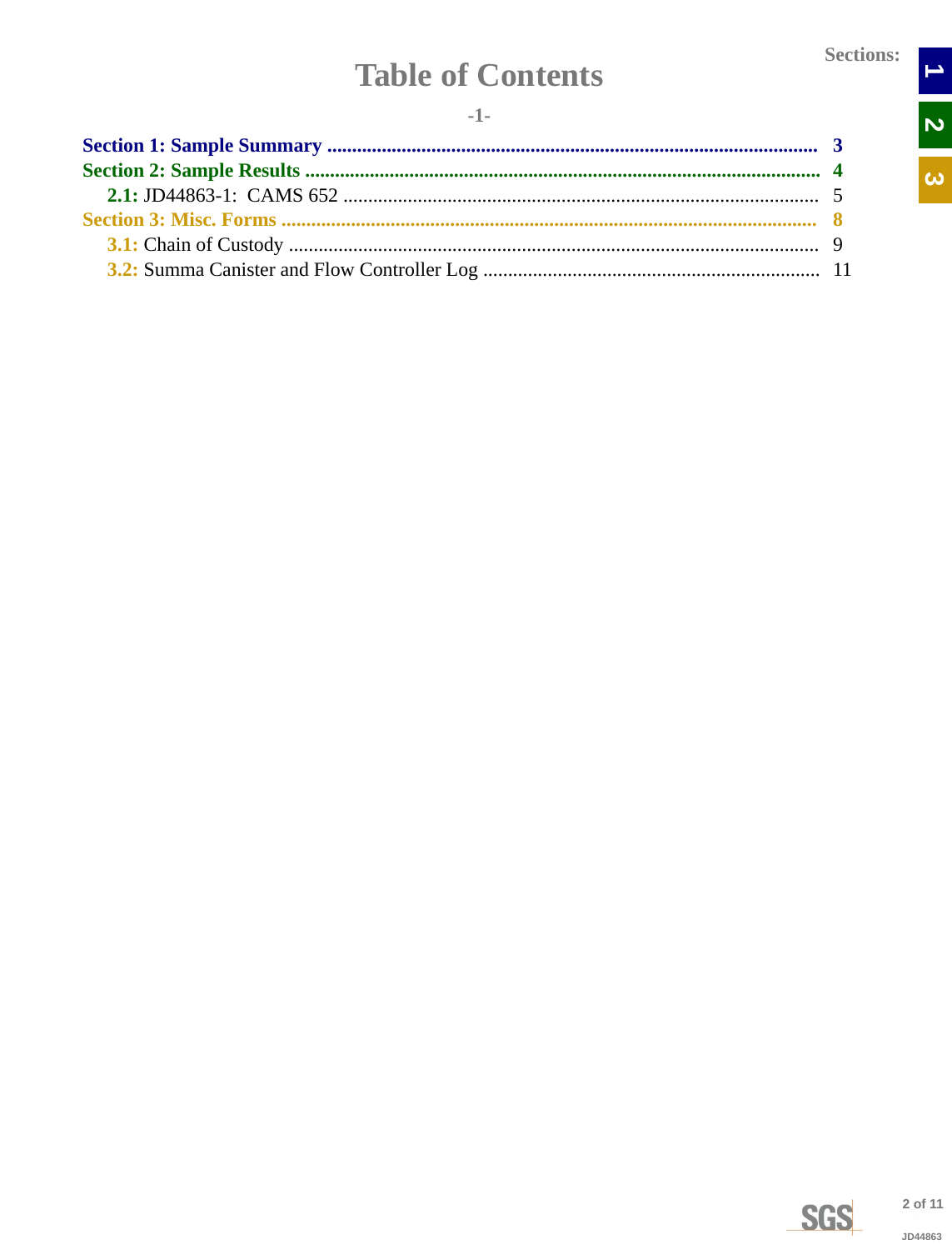$\rightarrow$ 

N<br>N

 $\overline{\omega}$ 

# **Table of Contents**

<span id="page-1-0"></span>

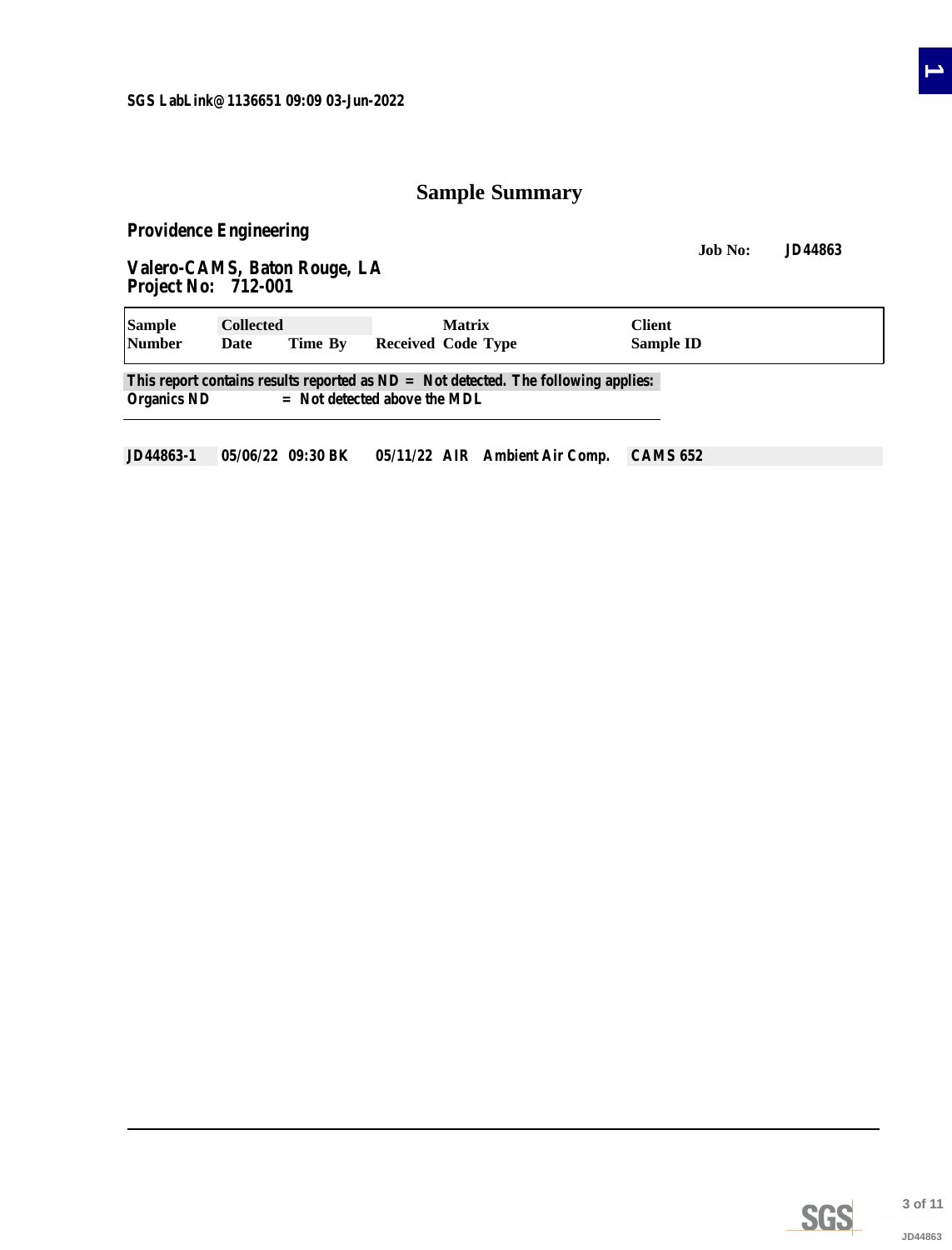### **Sample Summary**

<span id="page-2-0"></span>**Providence Engineering**

**Job No: JD44863 Valero-CAMS, Baton Rouge, LA Project No: 712-001**

| <b>Sample</b> | <b>Collected</b> |                                | <b>Matrix</b>                                                                        | Client    |  |  |  |  |
|---------------|------------------|--------------------------------|--------------------------------------------------------------------------------------|-----------|--|--|--|--|
| <b>Number</b> | Date             | Time By                        | Received Code Type                                                                   | Sample ID |  |  |  |  |
|               |                  |                                | This report contains results reported as $ND = Not$ detected. The following applies: |           |  |  |  |  |
| Organics ND   |                  | $=$ Not detected above the MDL |                                                                                      |           |  |  |  |  |

**JD44863-1 05/06/22 09:30 BK 05/11/22 AIR Ambient Air Comp. CAMS 652**

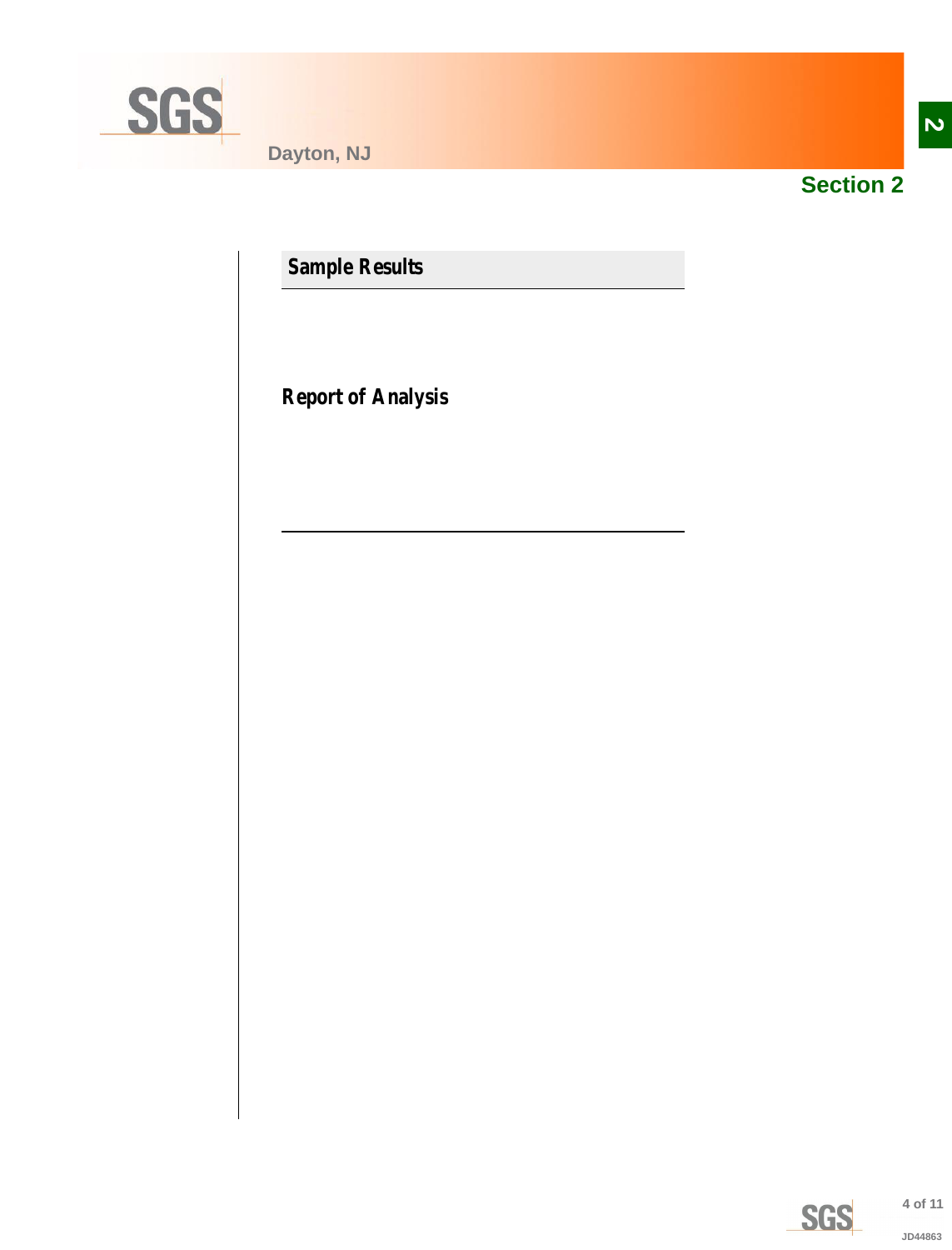<span id="page-3-0"></span>

**Dayton, NJ**



**Section 2**

**Sample Results**

**Report of Analysis**

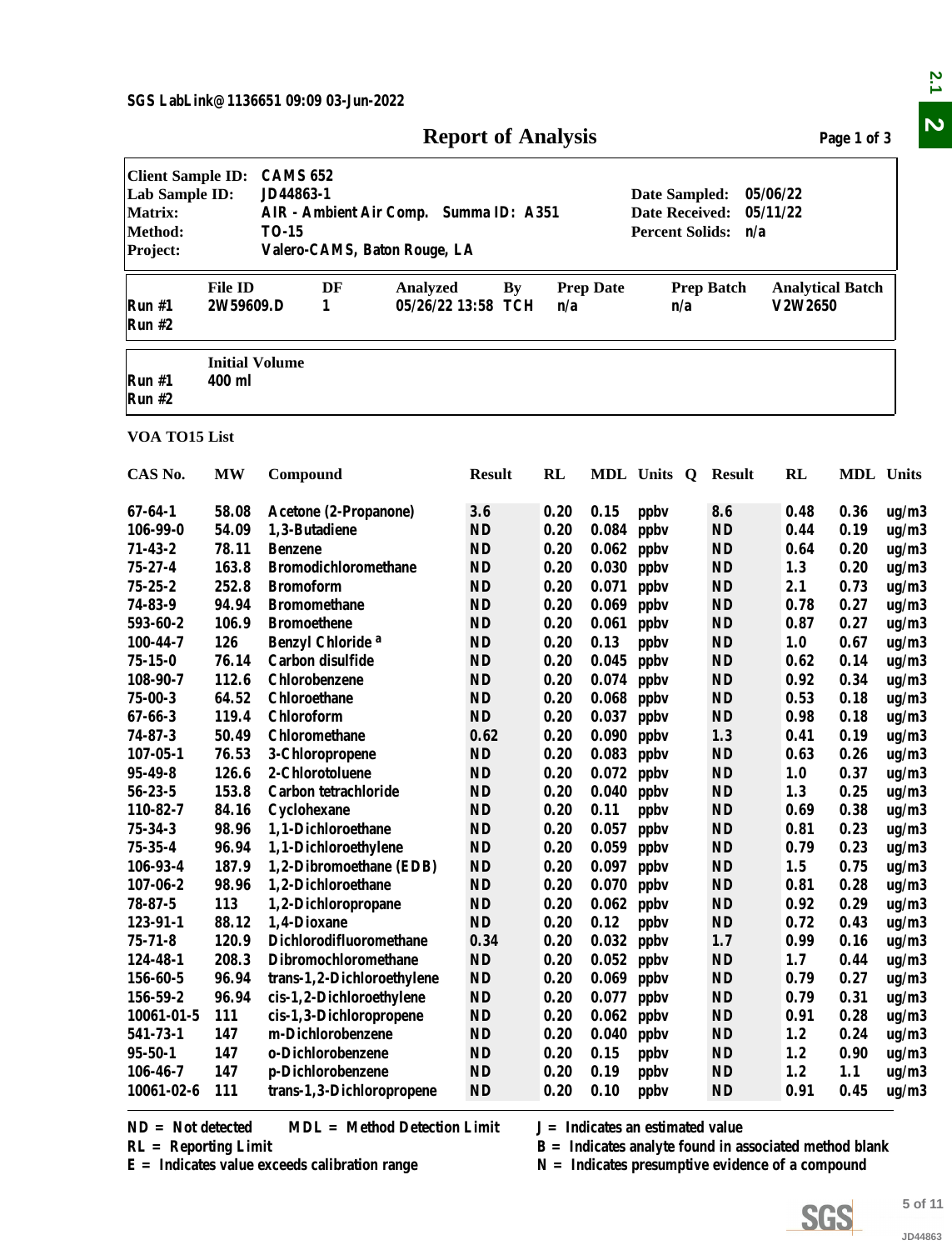<span id="page-4-0"></span>

|                                                                                            |                                               |                                                                                                                                                                                                                           | <b>Report of Analysis</b>       |      |                  |                                                                                                                                                      |                   |                                    | Page 1 of 3 |         |  |  |  |
|--------------------------------------------------------------------------------------------|-----------------------------------------------|---------------------------------------------------------------------------------------------------------------------------------------------------------------------------------------------------------------------------|---------------------------------|------|------------------|------------------------------------------------------------------------------------------------------------------------------------------------------|-------------------|------------------------------------|-------------|---------|--|--|--|
| <b>Client Sample ID:</b><br>Lab Sample ID:<br><b>Matrix:</b><br><b>Method:</b><br>Project: |                                               | <b>CAMS 652</b><br>JD44863-1<br>05/06/22<br>Date Sampled:<br>AIR - Ambient Air Comp. Summa ID: A351<br><b>Date Received:</b><br>05/11/22<br><b>TO-15</b><br><b>Percent Solids:</b><br>n/a<br>Valero-CAMS, Baton Rouge, LA |                                 |      |                  |                                                                                                                                                      |                   |                                    |             |         |  |  |  |
| Run #1<br>Run #2                                                                           | <b>File ID</b><br>2W59609.D                   | DF<br><b>Analyzed</b><br>1                                                                                                                                                                                                | <b>By</b><br>05/26/22 13:58 TCH | n/a  | <b>Prep Date</b> | n/a                                                                                                                                                  | <b>Prep Batch</b> | <b>Analytical Batch</b><br>V2W2650 |             |         |  |  |  |
| Run #1<br>Run #2                                                                           | <b>Initial Volume</b><br>400 ml               |                                                                                                                                                                                                                           |                                 |      |                  |                                                                                                                                                      |                   |                                    |             |         |  |  |  |
| VOA TO15 List                                                                              |                                               |                                                                                                                                                                                                                           |                                 |      |                  |                                                                                                                                                      |                   |                                    |             |         |  |  |  |
| CAS No.                                                                                    | <b>MW</b>                                     | Compound                                                                                                                                                                                                                  | <b>Result</b>                   | RL   |                  | MDL Units Q Result                                                                                                                                   |                   | RL                                 | MDL Units   |         |  |  |  |
| 67-64-1                                                                                    | 58.08                                         | Acetone (2-Propanone)                                                                                                                                                                                                     | 3.6                             | 0.20 | 0.15             | ppby                                                                                                                                                 | 8.6               | 0.48                               | 0.36        | ug/m3   |  |  |  |
| 106-99-0                                                                                   | 54.09                                         | 1,3-Butadiene                                                                                                                                                                                                             | <b>ND</b>                       | 0.20 | 0.084            | ppby                                                                                                                                                 | <b>ND</b>         | 0.44                               | 0.19        | ug/m3   |  |  |  |
| $71 - 43 - 2$                                                                              | 78.11                                         | <b>Benzene</b>                                                                                                                                                                                                            | <b>ND</b>                       | 0.20 | 0.062            | ppby                                                                                                                                                 | <b>ND</b>         | 0.64                               | 0.20        | ug/m3   |  |  |  |
| 75-27-4                                                                                    | 163.8                                         | <b>Bromodichloromethane</b>                                                                                                                                                                                               | <b>ND</b>                       | 0.20 | 0.030            | ppby                                                                                                                                                 | <b>ND</b>         | 1.3                                | 0.20        | ug/m3   |  |  |  |
| $75 - 25 - 2$                                                                              | 252.8                                         | <b>Bromoform</b>                                                                                                                                                                                                          | <b>ND</b>                       | 0.20 | 0.071            | ppby                                                                                                                                                 | <b>ND</b>         | 2.1                                | 0.73        | ug/m3   |  |  |  |
| 74-83-9                                                                                    | 94.94                                         | <b>Bromomethane</b>                                                                                                                                                                                                       | <b>ND</b>                       | 0.20 | 0.069            | ppby                                                                                                                                                 | <b>ND</b>         | 0.78                               | 0.27        | ug/m3   |  |  |  |
| 593-60-2                                                                                   | 106.9                                         | <b>Bromoethene</b>                                                                                                                                                                                                        | <b>ND</b>                       | 0.20 |                  | $0.061$ ppbv                                                                                                                                         | <b>ND</b>         | 0.87                               | 0.27        | ug/m3   |  |  |  |
| 100-44-7                                                                                   | 126                                           | Benzyl Chloride <sup>a</sup>                                                                                                                                                                                              | <b>ND</b>                       | 0.20 | 0.13             | ppby                                                                                                                                                 | <b>ND</b>         | 1.0                                | 0.67        | ug/m3   |  |  |  |
| $75 - 15 - 0$                                                                              | 76.14                                         | Carbon disulfide                                                                                                                                                                                                          | <b>ND</b>                       | 0.20 |                  | $0.045$ ppbv                                                                                                                                         | <b>ND</b>         | 0.62                               | 0.14        | ug/m3   |  |  |  |
| 108-90-7                                                                                   | 112.6                                         | Chlorobenzene                                                                                                                                                                                                             | <b>ND</b>                       | 0.20 |                  | $0.074$ ppbv                                                                                                                                         | <b>ND</b>         | 0.92                               | 0.34        | ug/m3   |  |  |  |
| $75 - 00 - 3$                                                                              | 64.52                                         | <b>Chloroethane</b>                                                                                                                                                                                                       | ND                              | 0.20 | 0.068            | ppby                                                                                                                                                 | ND                | 0.53                               | 0.18        | ug/m3   |  |  |  |
| $67 - 66 - 3$                                                                              | 119.4                                         | Chloroform                                                                                                                                                                                                                | ND                              | 0.20 | 0.037            | ppby                                                                                                                                                 | <b>ND</b>         | 0.98                               | 0.18        | ug/m3   |  |  |  |
| $74 - 87 - 3$                                                                              | 50.49                                         | Chloromethane                                                                                                                                                                                                             | 0.62                            | 0.20 | 0.090            | ppby                                                                                                                                                 | 1.3               | 0.41                               | 0.19        | ug/m3   |  |  |  |
| $107 - 05 - 1$                                                                             | 76.53                                         | 3-Chloropropene                                                                                                                                                                                                           | <b>ND</b>                       | 0.20 | 0.083            | ppby                                                                                                                                                 | <b>ND</b>         | 0.63                               | 0.26        | ug/m3   |  |  |  |
| 95-49-8                                                                                    | 126.6                                         | 2-Chlorotoluene                                                                                                                                                                                                           | <b>ND</b>                       | 0.20 | $0.072$ ppbv     |                                                                                                                                                      | <b>ND</b>         | 1.0                                | 0.37        | ug/m3   |  |  |  |
| $56 - 23 - 5$                                                                              | 153.8                                         | Carbon tetrachloride                                                                                                                                                                                                      | <b>ND</b>                       | 0.20 |                  | $0.040$ ppbv                                                                                                                                         | <b>ND</b>         | 1.3                                | 0.25        | ug/m3   |  |  |  |
| 110-82-7                                                                                   | 84.16                                         | Cyclohexane                                                                                                                                                                                                               | <b>ND</b>                       | 0.20 | 0.11             | ppby                                                                                                                                                 | <b>ND</b>         | 0.69                               | 0.38        | ug/m3   |  |  |  |
| 75-34-3                                                                                    | 98.96                                         | 1,1-Dichloroethane                                                                                                                                                                                                        | <b>ND</b>                       | 0.20 |                  | $0.057$ ppbv                                                                                                                                         | <b>ND</b>         | 0.81                               | 0.23        | ug/m3   |  |  |  |
| $75 - 35 - 4$                                                                              | 96.94                                         | 1,1-Dichloroethylene                                                                                                                                                                                                      | $\mathbf{ND}$                   | 0.20 |                  | $0.059$ ppbv                                                                                                                                         | <b>ND</b>         | 0.79                               | 0.23        | ug/m3   |  |  |  |
| 106-93-4                                                                                   | 187.9                                         | 1,2-Dibromoethane (EDB)                                                                                                                                                                                                   | <b>ND</b>                       | 0.20 |                  | $0.097$ ppbv                                                                                                                                         | <b>ND</b>         | 1.5                                | 0.75        | ug/m3   |  |  |  |
| $107 - 06 - 2$                                                                             | 98.96                                         | 1,2-Dichloroethane                                                                                                                                                                                                        | <b>ND</b>                       | 0.20 |                  | $0.070$ ppbv                                                                                                                                         | <b>ND</b>         | 0.81                               | 0.28        | ug/m3   |  |  |  |
| $78 - 87 - 5$                                                                              | 113                                           | 1,2-Dichloropropane                                                                                                                                                                                                       | <b>ND</b>                       | 0.20 | $0.062$ ppbv     |                                                                                                                                                      | <b>ND</b>         | 0.92                               | 0.29        | ug/m3   |  |  |  |
| 123-91-1                                                                                   | 88.12                                         | 1,4-Dioxane                                                                                                                                                                                                               | <b>ND</b>                       | 0.20 | 0.12             | ppby                                                                                                                                                 | <b>ND</b>         | 0.72                               | 0.43        | ug/m3   |  |  |  |
| $75 - 71 - 8$                                                                              | 120.9                                         | Dichlorodifluoromethane                                                                                                                                                                                                   | 0.34                            | 0.20 |                  | $0.032$ ppbv                                                                                                                                         | 1.7               | 0.99                               | 0.16        | ug/m3   |  |  |  |
| 124-48-1                                                                                   | 208.3                                         | Dibromochloromethane                                                                                                                                                                                                      | <b>ND</b>                       | 0.20 |                  | $0.052$ ppbv                                                                                                                                         | <b>ND</b>         | 1.7                                | 0.44        | ug/m3   |  |  |  |
| 156-60-5                                                                                   | 96.94                                         | trans-1,2-Dichloroethylene                                                                                                                                                                                                | <b>ND</b>                       | 0.20 |                  | $0.069$ ppbv                                                                                                                                         | <b>ND</b>         | 0.79                               | 0.27        | ug/m3   |  |  |  |
| 156-59-2                                                                                   | 96.94                                         | cis-1,2-Dichloroethylene                                                                                                                                                                                                  | <b>ND</b>                       | 0.20 | 0.077            | ppby                                                                                                                                                 | <b>ND</b>         | 0.79                               | 0.31        | ug/m3   |  |  |  |
| 10061-01-5                                                                                 | 111                                           | cis-1,3-Dichloropropene                                                                                                                                                                                                   | $\mathbf{ND}$                   | 0.20 | 0.062            | ppby                                                                                                                                                 | <b>ND</b>         | 0.91                               | 0.28        | ug/m3   |  |  |  |
| 541-73-1                                                                                   | 147                                           | m-Dichlorobenzene                                                                                                                                                                                                         | <b>ND</b>                       | 0.20 | 0.040            | ppby                                                                                                                                                 | <b>ND</b>         | 1.2                                | 0.24        | ug/m3   |  |  |  |
| 95-50-1                                                                                    | 147                                           | o-Dichlorobenzene                                                                                                                                                                                                         | <b>ND</b>                       | 0.20 | 0.15             | ppby                                                                                                                                                 | <b>ND</b>         | 1.2                                | 0.90        | ug/m3   |  |  |  |
| 106-46-7                                                                                   | 147                                           | p-Dichlorobenzene                                                                                                                                                                                                         | <b>ND</b>                       | 0.20 | 0.19             | ppby                                                                                                                                                 | <b>ND</b>         | 1.2                                | 1.1         | ug/m3   |  |  |  |
| 10061-02-6                                                                                 | 111                                           | trans-1,3-Dichloropropene                                                                                                                                                                                                 | <b>ND</b>                       | 0.20 | 0.10             | ppby                                                                                                                                                 | <b>ND</b>         | 0.91                               | 0.45        | ug/m3   |  |  |  |
|                                                                                            | $ND = Not detected$<br>$RL =$ Reporting Limit | <b>MDL</b> = Method Detection Limit<br>$E =$ Indicates value exceeds calibration range                                                                                                                                    |                                 |      |                  | $J = Indicates$ an estimated value<br>$B =$ Indicates analyte found in associated method blank<br>$N =$ Indicates presumptive evidence of a compound |                   |                                    |             |         |  |  |  |
|                                                                                            |                                               |                                                                                                                                                                                                                           |                                 |      |                  |                                                                                                                                                      |                   |                                    |             |         |  |  |  |
|                                                                                            |                                               |                                                                                                                                                                                                                           |                                 |      |                  |                                                                                                                                                      |                   |                                    |             |         |  |  |  |
|                                                                                            |                                               |                                                                                                                                                                                                                           |                                 |      |                  |                                                                                                                                                      |                   | SGS                                |             | 5 of 11 |  |  |  |

**E = Indicates value exceeds calibration range N = Indicates presumptive evidence of a compound**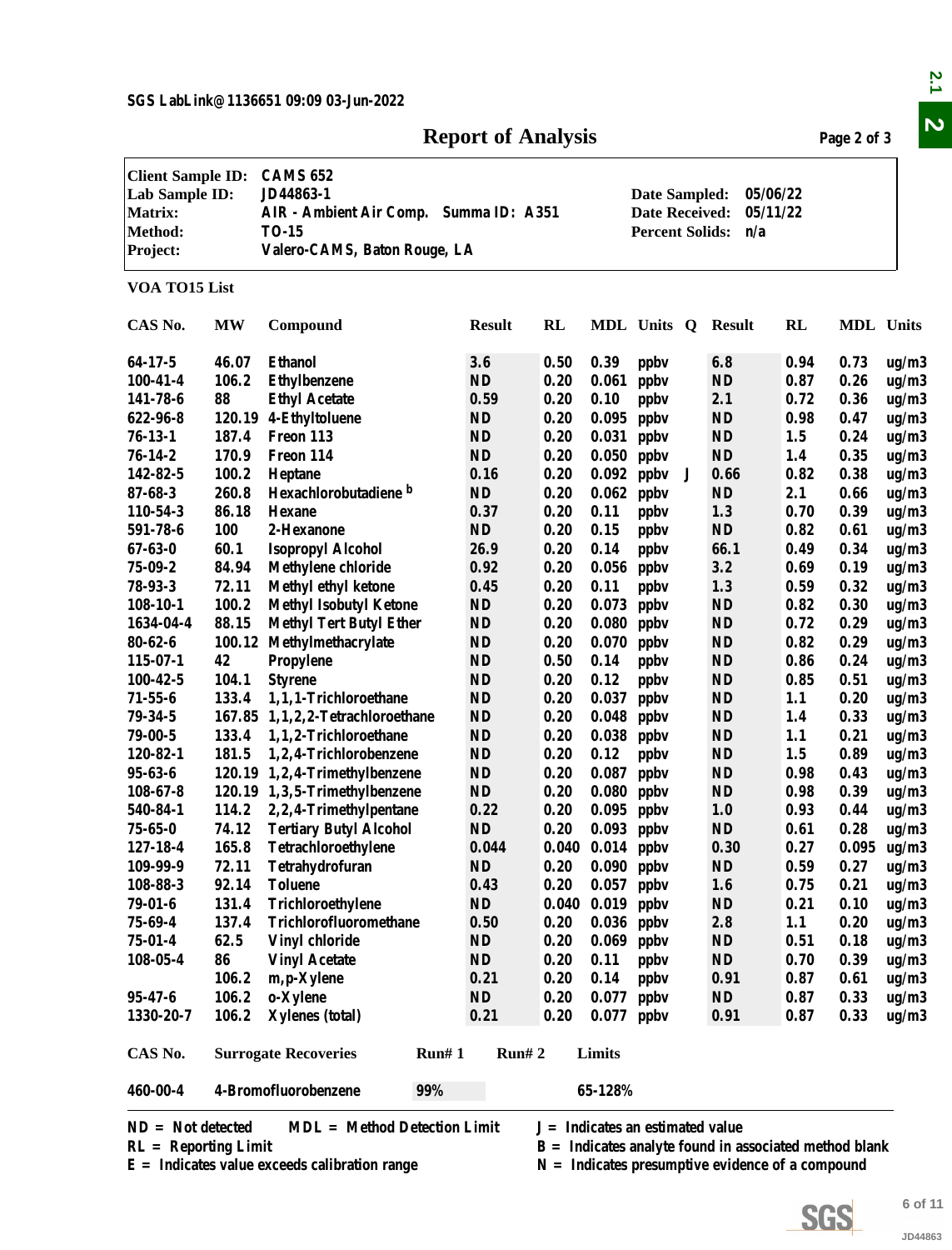### **Report of Analysis Page 2 of 3**

|                                                                                            |                |                                                                                                                        | <b>Report of Analysis</b> |              |                                      |                                                                  |                   |                      | Page 2 of 3      |                |
|--------------------------------------------------------------------------------------------|----------------|------------------------------------------------------------------------------------------------------------------------|---------------------------|--------------|--------------------------------------|------------------------------------------------------------------|-------------------|----------------------|------------------|----------------|
| <b>Client Sample ID:</b><br>Lab Sample ID:<br><b>Matrix:</b><br><b>Method:</b><br>Project: |                | <b>CAMS 652</b><br>JD44863-1<br>AIR - Ambient Air Comp. Summa ID: A351<br><b>TO-15</b><br>Valero-CAMS, Baton Rouge, LA |                           |              |                                      | Date Sampled:<br><b>Date Received:</b><br><b>Percent Solids:</b> | n/a               | 05/06/22<br>05/11/22 |                  |                |
| VOA TO15 List                                                                              |                |                                                                                                                        |                           |              |                                      |                                                                  |                   |                      |                  |                |
| CAS No.                                                                                    | <b>MW</b>      | Compound                                                                                                               | <b>Result</b>             | RL           |                                      | MDL Units Q                                                      | Result            | RL                   | <b>MDL</b> Units |                |
| 64-17-5                                                                                    | 46.07          | <b>Ethanol</b>                                                                                                         | 3.6                       | 0.50         | 0.39                                 | ppby                                                             | 6.8               | 0.94                 | 0.73             | ug/m3          |
| $100 - 41 - 4$                                                                             | 106.2          | <b>Ethylbenzene</b>                                                                                                    | ND                        | 0.20         | 0.061                                | ppby                                                             | <b>ND</b>         | 0.87                 | 0.26             | ug/m3          |
| 141-78-6                                                                                   | 88             | <b>Ethyl Acetate</b>                                                                                                   | 0.59                      | 0.20         | 0.10                                 | ppby                                                             | 2.1               | 0.72                 | 0.36             | ug/m3          |
| 622-96-8                                                                                   |                | 120.19 4-Ethyltoluene                                                                                                  | <b>ND</b>                 | 0.20         | 0.095                                | ppby                                                             | <b>ND</b>         | 0.98                 | 0.47             | ug/m3          |
| $76 - 13 - 1$                                                                              | 187.4          | Freon 113                                                                                                              | <b>ND</b>                 | 0.20         | 0.031                                | ppby                                                             | <b>ND</b>         | 1.5                  | 0.24             | ug/m3          |
| $76 - 14 - 2$                                                                              | 170.9          | Freon 114                                                                                                              | ND                        | 0.20         | 0.050                                | ppby                                                             | <b>ND</b>         | 1.4                  | 0.35             | ug/m3          |
| 142-82-5                                                                                   | 100.2          | Heptane                                                                                                                | 0.16                      | 0.20         | 0.092                                | ppby<br>J                                                        | 0.66              | 0.82                 | 0.38             | ug/m3          |
| $87 - 68 - 3$                                                                              | 260.8          | Hexachlorobutadiene b                                                                                                  | <b>ND</b>                 | 0.20         | 0.062                                | ppby                                                             | <b>ND</b>         | 2.1                  | 0.66             | ug/m3          |
| 110-54-3                                                                                   | 86.18          | <b>Hexane</b>                                                                                                          | 0.37                      | 0.20         | 0.11                                 | ppby                                                             | 1.3               | 0.70                 | 0.39             | ug/m3          |
| 591-78-6                                                                                   | 100            | 2-Hexanone                                                                                                             | $\mathbf{N}\mathbf{D}$    | 0.20         | 0.15                                 | ppbv                                                             | <b>ND</b>         | 0.82                 | 0.61             | ug/m3          |
| $67 - 63 - 0$                                                                              | 60.1           | <b>Isopropyl Alcohol</b>                                                                                               | 26.9                      | 0.20         | 0.14                                 | ppby                                                             | 66.1              | 0.49                 | 0.34             | ug/m3          |
| $75 - 09 - 2$                                                                              | 84.94          | <b>Methylene chloride</b>                                                                                              | 0.92                      | 0.20         | 0.056                                | ppby                                                             | 3.2               | 0.69                 | 0.19             | ug/m3          |
| $78 - 93 - 3$                                                                              | 72.11          | <b>Methyl ethyl ketone</b>                                                                                             | 0.45                      | 0.20         | 0.11                                 | ppby                                                             | 1.3               | 0.59                 | 0.32             | ug/m3          |
| $108 - 10 - 1$                                                                             | 100.2          | <b>Methyl Isobutyl Ketone</b>                                                                                          | <b>ND</b>                 | 0.20         | 0.073                                | ppby                                                             | <b>ND</b>         | 0.82                 | 0.30             | ug/m3          |
| 1634-04-4                                                                                  | 88.15          | <b>Methyl Tert Butyl Ether</b>                                                                                         | <b>ND</b>                 | 0.20         | 0.080                                | ppby                                                             | <b>ND</b>         | 0.72                 | 0.29             | ug/m3          |
| $80 - 62 - 6$                                                                              | 100.12         | Methylmethacrylate                                                                                                     | <b>ND</b>                 | 0.20         | 0.070                                | ppby                                                             | <b>ND</b>         | 0.82                 | 0.29             | ug/m3          |
| 115-07-1                                                                                   | 42             |                                                                                                                        | <b>ND</b>                 | 0.50         |                                      |                                                                  | <b>ND</b>         |                      |                  |                |
| $100 - 42 - 5$                                                                             | 104.1          | Propylene                                                                                                              | <b>ND</b>                 | 0.20         | 0.14<br>0.12                         | ppby                                                             | <b>ND</b>         | 0.86<br>0.85         | 0.24<br>0.51     | ug/m3          |
| $71 - 55 - 6$                                                                              | 133.4          | <b>Styrene</b><br>1,1,1-Trichloroethane                                                                                | <b>ND</b>                 | 0.20         | 0.037                                | ppby<br>ppby                                                     | <b>ND</b>         | 1.1                  |                  | ug/m3          |
| $79 - 34 - 5$                                                                              |                | 167.85 1,1,2,2-Tetrachloroethane                                                                                       | <b>ND</b>                 | 0.20         | 0.048                                | ppby                                                             | <b>ND</b>         |                      | 0.20<br>0.33     | ug/m3          |
| $79 - 00 - 5$                                                                              | 133.4          | 1,1,2-Trichloroethane                                                                                                  | <b>ND</b>                 | 0.20         | 0.038                                |                                                                  | <b>ND</b>         | 1.4<br>1.1           |                  | ug/m3          |
| 120-82-1                                                                                   | 181.5          | 1,2,4-Trichlorobenzene                                                                                                 | <b>ND</b>                 | 0.20         | 0.12                                 | ppby                                                             | <b>ND</b>         | 1.5                  | 0.21<br>0.89     | ug/m3          |
| 95-63-6                                                                                    |                | 120.19 1,2,4-Trimethylbenzene                                                                                          | <b>ND</b>                 | 0.20         | 0.087                                | ppby                                                             | <b>ND</b>         | 0.98                 |                  | ug/m3          |
| $108 - 67 - 8$                                                                             |                | 120.19 1,3,5-Trimethylbenzene                                                                                          | ND                        | 0.20         |                                      | ppby<br>$0.080$ ppbv                                             | <b>ND</b>         | 0.98                 | 0.43<br>0.39     | ug/m3<br>ug/m3 |
|                                                                                            |                |                                                                                                                        | 0.22                      | 0.20         |                                      |                                                                  | 1.0               | 0.93                 | 0.44             |                |
| 540-84-1<br>$75 - 65 - 0$                                                                  |                | 114.2 2,2,4-Trimethylpentane<br><b>Tertiary Butyl Alcohol</b>                                                          | <b>ND</b>                 |              |                                      | $0.095$ ppbv                                                     |                   |                      | 0.28             | ug/m3          |
| 127-18-4                                                                                   | 74.12<br>165.8 | Tetrachloroethylene                                                                                                    | 0.044                     | 0.20         | $0.093$ ppbv<br>$0.040$ $0.014$ ppbv |                                                                  | <b>ND</b><br>0.30 | 0.61<br>0.27         | 0.095            | ug/m3          |
| 109-99-9                                                                                   | 72.11          | Tetrahydrofuran                                                                                                        | ND                        | 0.20         |                                      |                                                                  | <b>ND</b>         | 0.59                 | 0.27             | ug/m3<br>ug/m3 |
| 108-88-3                                                                                   | 92.14          | <b>Toluene</b>                                                                                                         | 0.43                      | 0.20         |                                      | $0.090$ ppbv<br>$0.057$ ppbv                                     | 1.6               | 0.75                 | 0.21             |                |
| 79-01-6                                                                                    | 131.4          | Trichloroethylene                                                                                                      | <b>ND</b>                 |              | $0.040$ $0.019$ ppbv                 |                                                                  | <b>ND</b>         | 0.21                 |                  | ug/m3<br>ug/m3 |
| 75-69-4                                                                                    | 137.4          | Trichlorofluoromethane                                                                                                 | 0.50                      | 0.20         |                                      | $0.036$ ppbv                                                     | 2.8               | 1.1                  | 0.10<br>0.20     |                |
| 75-01-4                                                                                    | 62.5           | Vinyl chloride                                                                                                         | ND                        | 0.20         |                                      |                                                                  | <b>ND</b>         |                      |                  | ug/m3          |
|                                                                                            |                |                                                                                                                        |                           |              |                                      | $0.069$ ppbv                                                     |                   | 0.51                 | 0.18             | ug/m3          |
| $108 - 05 - 4$                                                                             | 86             | <b>Vinyl Acetate</b>                                                                                                   | <b>ND</b>                 | 0.20         | 0.11                                 | ppby                                                             | <b>ND</b>         | 0.70                 | 0.39             | ug/m3          |
|                                                                                            | 106.2          | m, p-Xylene                                                                                                            | 0.21                      | 0.20         | 0.14                                 | ppby                                                             | 0.91              | 0.87                 | 0.61             | ug/m3          |
| 95-47-6<br>1330-20-7                                                                       | 106.2<br>106.2 | o-Xylene<br><b>Xylenes</b> (total)                                                                                     | ND<br>0.21                | 0.20<br>0.20 | 0.077                                | ppby<br>$0.077$ ppbv                                             | ND<br>0.91        | 0.87<br>0.87         | 0.33<br>0.33     | ug/m3          |
|                                                                                            |                |                                                                                                                        |                           |              |                                      |                                                                  |                   |                      |                  | ug/m3          |
| CAS No.                                                                                    |                | <b>Surrogate Recoveries</b>                                                                                            | Run# 1<br>Run# 2          |              | Limits                               |                                                                  |                   |                      |                  |                |
| 460-00-4                                                                                   |                | 4-Bromofluorobenzene<br>99%                                                                                            |                           |              | 65-128%                              |                                                                  |                   |                      |                  |                |
| $ND = Not detected$                                                                        |                | <b>MDL</b> = Method Detection Limit                                                                                    |                           |              |                                      | $J = Indicates$ an estimated value                               |                   |                      |                  |                |
| $RL =$ Reporting Limit                                                                     |                |                                                                                                                        |                           |              |                                      | $B =$ Indicates analyte found in associated method blank         |                   |                      |                  |                |
|                                                                                            |                | $E =$ Indicates value exceeds calibration range                                                                        |                           |              |                                      | $N =$ Indicates presumptive evidence of a compound               |                   |                      |                  |                |
|                                                                                            |                |                                                                                                                        |                           |              |                                      |                                                                  |                   |                      |                  |                |
|                                                                                            |                |                                                                                                                        |                           |              |                                      |                                                                  |                   |                      |                  |                |
|                                                                                            |                |                                                                                                                        |                           |              |                                      |                                                                  |                   | SGS                  |                  | 6 of 11        |
|                                                                                            |                |                                                                                                                        |                           |              |                                      |                                                                  |                   |                      |                  | JD44863        |

| $ND = Not detected$  | $MDL = Method$ Detection Limit |
|----------------------|--------------------------------|
| RL = Reporting Limit |                                |

- RL = Reporting Limit<br>  $E = Indicates$  analyte found in associated method blank<br>  $E = Indicates$  presumptive evidence of a compound<br>  $N = Indicates$  presumptive evidence of a compound
	- $N =$  **Indicates presumptive evidence of a compound**



**SGS**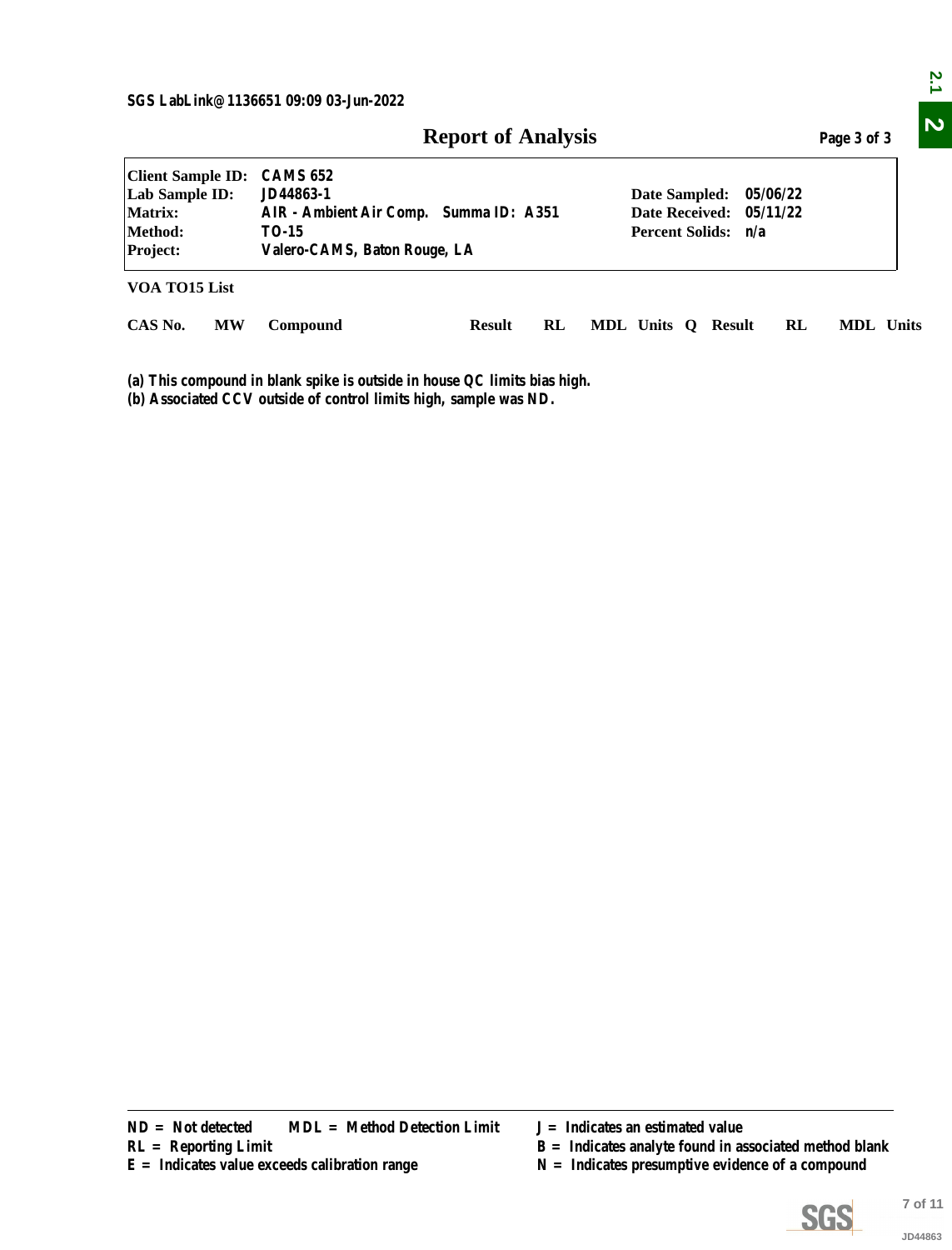|                                                                              |           |                                                                                                                                                                                                                           | <b>Report of Analysis</b> |           |  |                                    |  |                                                    |    | Page 3 of 3                                              |  |
|------------------------------------------------------------------------------|-----------|---------------------------------------------------------------------------------------------------------------------------------------------------------------------------------------------------------------------------|---------------------------|-----------|--|------------------------------------|--|----------------------------------------------------|----|----------------------------------------------------------|--|
| <b>Client Sample ID:</b><br>Lab Sample ID:<br>Matrix:<br>Method:<br>Project: |           | <b>CAMS 652</b><br>JD44863-1<br>05/06/22<br>Date Sampled:<br><b>Date Received:</b><br>AIR - Ambient Air Comp. Summa ID: A351<br>05/11/22<br><b>Percent Solids:</b><br><b>TO-15</b><br>n/a<br>Valero-CAMS, Baton Rouge, LA |                           |           |  |                                    |  |                                                    |    |                                                          |  |
| VOA TO15 List                                                                |           |                                                                                                                                                                                                                           |                           |           |  |                                    |  |                                                    |    |                                                          |  |
| CAS No.                                                                      | <b>MW</b> | Compound                                                                                                                                                                                                                  | <b>Result</b>             | <b>RL</b> |  |                                    |  | MDL Units Q Result                                 | RL | MDL Units                                                |  |
|                                                                              |           |                                                                                                                                                                                                                           |                           |           |  |                                    |  |                                                    |    |                                                          |  |
| $ND = Not detected$<br>$RL =$ Reporting Limit                                |           | <b>MDL</b> = Method Detection Limit<br>$E =$ Indicates value exceeds calibration range                                                                                                                                    |                           |           |  | $J = Indicates$ an estimated value |  | $N =$ Indicates presumptive evidence of a compound |    | $B =$ Indicates analyte found in associated method blank |  |

- 
- **R** = Indicates analyte found in associated method blank
- 

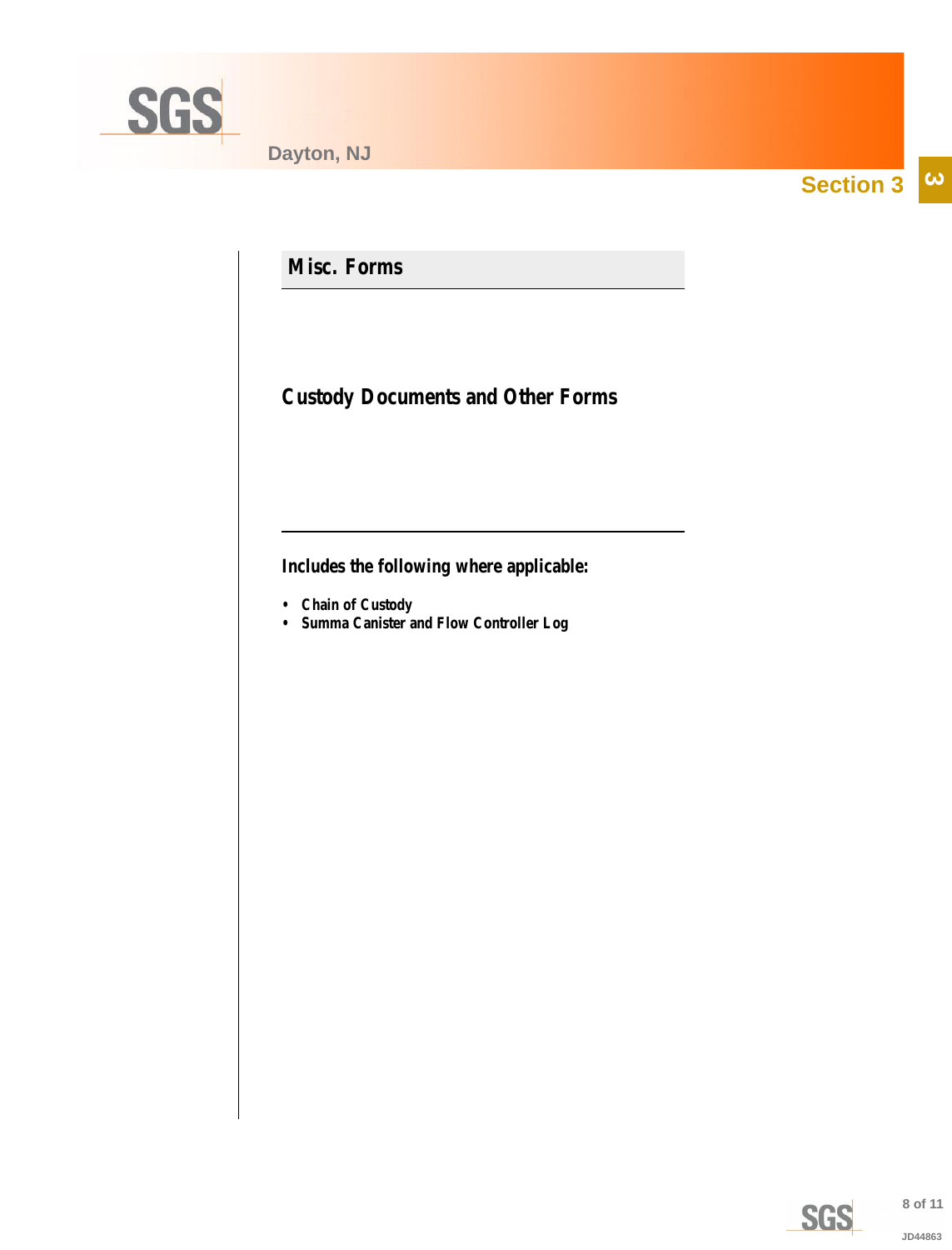<span id="page-7-0"></span>

**Section 3**  $\overline{\omega}$ 

**Misc. Forms**

**Custody Documents and Other Forms**

**Includes the following where applicable:**

- **Chain of Custody**
- **Summa Canister and Flow Controller Log**

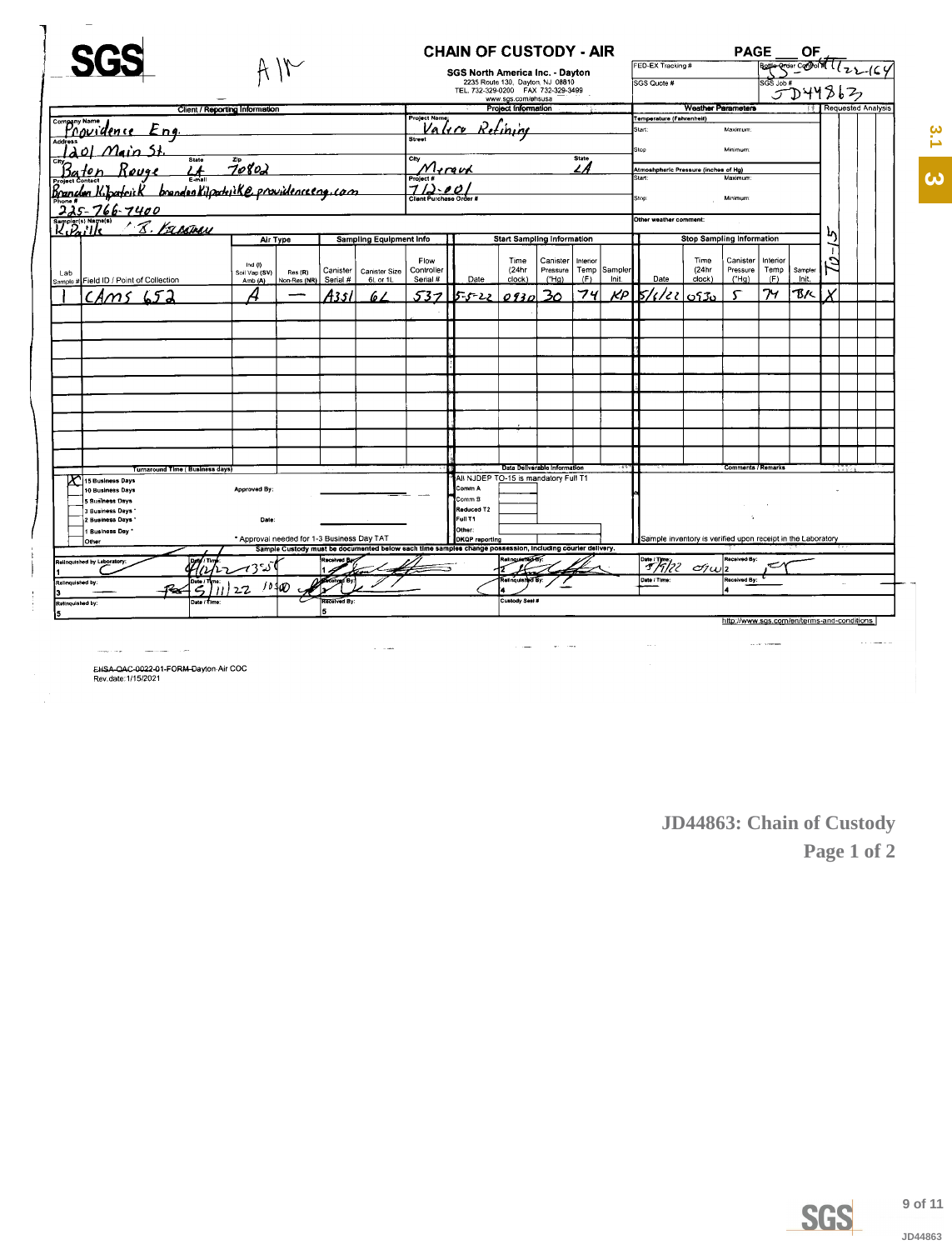<span id="page-8-0"></span>

|                                                                  |                                |                                            |                     |                                |                                   | <b>CHAIN OF CUSTODY - AIR</b><br>SGS North America Inc. - Dayton                                         |                                  |                              |                                                |         | FED-EX Tracking #                                           |                                  | <b>PAGE</b>                                | <b>Bothe Croise Company</b> | ΟF           |                    | 22164                     |  |
|------------------------------------------------------------------|--------------------------------|--------------------------------------------|---------------------|--------------------------------|-----------------------------------|----------------------------------------------------------------------------------------------------------|----------------------------------|------------------------------|------------------------------------------------|---------|-------------------------------------------------------------|----------------------------------|--------------------------------------------|-----------------------------|--------------|--------------------|---------------------------|--|
|                                                                  |                                |                                            |                     |                                |                                   |                                                                                                          | 2235 Route 130, Dayton, NJ 08810 |                              |                                                |         | SGS Quote #                                                 |                                  |                                            | SGS Job #                   |              |                    |                           |  |
|                                                                  |                                |                                            |                     |                                |                                   | TEL. 732-329-0200 FAX 732-329-3499                                                                       | www.sgs.com/ehsusa               |                              |                                                |         |                                                             |                                  |                                            |                             | 5D44863      |                    |                           |  |
|                                                                  | Client / Reporting Information |                                            |                     |                                | <b>Project Name</b>               |                                                                                                          | Project Information              |                              |                                                |         | Temperature (Fahrenheit)                                    | <b>Weather Parameters</b>        |                                            |                             |              |                    | <b>Requested Analysis</b> |  |
| company Name dence Eng.                                          |                                |                                            |                     |                                | Valiro                            |                                                                                                          | Ketining                         |                              |                                                |         | Start:                                                      |                                  | Maximum:                                   |                             |              |                    |                           |  |
| <b>Address</b>                                                   |                                |                                            |                     |                                | <b>Street</b>                     |                                                                                                          |                                  |                              |                                                |         | Stop                                                        |                                  | Minimum                                    |                             |              |                    |                           |  |
| <del>ى</del> د منە21                                             | State<br>Zip                   |                                            |                     |                                | City                              |                                                                                                          |                                  |                              | State                                          |         |                                                             |                                  |                                            |                             |              |                    |                           |  |
|                                                                  | 70802<br>E mail                |                                            | Mergud<br>Project # |                                |                                   |                                                                                                          | L A                              |                              | Atmoshpheric Pressure (inches of Hg)<br>Start: |         | Maximum                                                     |                                  |                                            |                             |              |                    |                           |  |
| branden Kilpockike providenceeng.com<br><u>Brandon K.Joafrik</u> |                                | $712 - 00$<br>Client Purchase Order #      |                     |                                |                                   |                                                                                                          |                                  | Stop:                        |                                                | Minimum |                                                             |                                  |                                            |                             |              |                    |                           |  |
| $225 - 766 - 7400$                                               |                                |                                            |                     |                                |                                   |                                                                                                          |                                  |                              |                                                |         |                                                             |                                  |                                            |                             |              |                    |                           |  |
| ar(s) Name(s)<br><u> 8. Kapamin</u>                              |                                |                                            |                     |                                |                                   |                                                                                                          |                                  |                              |                                                |         | Other weather comment:                                      |                                  |                                            |                             |              | L٨                 |                           |  |
| K.P                                                              | Air Type                       |                                            |                     | <b>Sampling Equipment Info</b> | <b>Start Sampling Information</b> |                                                                                                          |                                  |                              |                                                |         |                                                             | <b>Stop Sampling Information</b> |                                            |                             |              |                    |                           |  |
|                                                                  |                                |                                            |                     |                                | Flow                              |                                                                                                          | Time                             | Canister                     | Interior                                       |         |                                                             | Time                             | Canister                                   | Interior                    |              | f<br>$\mathcal{L}$ |                           |  |
| Lab                                                              | Ind $(0)$<br>Soil Vap (SV)     | Res (R)                                    | Canister            | <b>Canister Size</b>           | Controller                        |                                                                                                          | (24hr                            | Pressure                     | Temp                                           | Sampler |                                                             | (24hr                            | Pressure                                   | Temp                        | Sampler      |                    |                           |  |
| Sample # Field ID / Point of Collection                          | Amb (A)                        | Non-Res (NR)                               | Serial #            | 6L or 1L                       | Serial #                          | Date                                                                                                     | clock)                           | ("Ha)                        | (F)<br>74                                      | Init.   | Date                                                        | clock)                           | ("Hg)                                      | (F)<br>74                   | Init.<br>B/< |                    |                           |  |
| m                                                                |                                |                                            | A351                | 6 Z                            | ς<br>マー                           | らっと                                                                                                      | 0930                             | 3 <sub>Q</sub>               |                                                | KP      | 'da<br>к.                                                   | 0530                             |                                            |                             |              |                    |                           |  |
|                                                                  |                                |                                            |                     |                                |                                   |                                                                                                          |                                  |                              |                                                |         |                                                             |                                  |                                            |                             |              |                    |                           |  |
|                                                                  |                                |                                            |                     |                                |                                   |                                                                                                          |                                  |                              |                                                |         |                                                             |                                  |                                            |                             |              |                    |                           |  |
|                                                                  |                                |                                            |                     |                                |                                   |                                                                                                          |                                  |                              |                                                |         |                                                             |                                  |                                            |                             |              |                    |                           |  |
|                                                                  |                                |                                            |                     |                                |                                   |                                                                                                          |                                  |                              |                                                |         |                                                             |                                  |                                            |                             |              |                    |                           |  |
|                                                                  |                                |                                            |                     |                                |                                   |                                                                                                          |                                  |                              |                                                |         |                                                             |                                  |                                            |                             |              |                    |                           |  |
|                                                                  |                                |                                            |                     |                                |                                   |                                                                                                          |                                  |                              |                                                |         |                                                             |                                  |                                            |                             |              |                    |                           |  |
|                                                                  |                                |                                            |                     |                                |                                   |                                                                                                          |                                  |                              |                                                |         |                                                             |                                  |                                            |                             |              |                    |                           |  |
|                                                                  |                                |                                            |                     |                                |                                   |                                                                                                          |                                  |                              |                                                |         |                                                             |                                  |                                            |                             |              |                    |                           |  |
|                                                                  |                                |                                            |                     |                                |                                   |                                                                                                          |                                  |                              |                                                |         |                                                             |                                  |                                            |                             |              |                    |                           |  |
|                                                                  |                                |                                            |                     |                                |                                   |                                                                                                          |                                  |                              |                                                |         |                                                             |                                  |                                            |                             |              |                    |                           |  |
| Turnaround Time (Business days)<br>15 Business Days              |                                |                                            |                     |                                |                                   | All NJDEP TO-15 is mandatory Full T1                                                                     |                                  | Data Deliverable Information |                                                |         |                                                             |                                  | <b>Comments / Remarks</b>                  |                             |              |                    |                           |  |
| 10 Business Days                                                 | <b>Approved By:</b>            |                                            |                     |                                |                                   | Comm A                                                                                                   |                                  |                              |                                                |         |                                                             |                                  |                                            |                             |              |                    |                           |  |
| 5 Business Days<br>3 Business Days                               |                                |                                            |                     |                                |                                   | Comm <sub>B</sub><br>Reduced T2                                                                          |                                  |                              |                                                |         |                                                             |                                  |                                            |                             |              |                    |                           |  |
| 2 Business Days                                                  | Date:                          |                                            |                     |                                |                                   | <b>Full T1</b>                                                                                           |                                  |                              |                                                |         |                                                             |                                  | $\Lambda$                                  |                             |              |                    |                           |  |
| 1 Business Day<br>Other                                          |                                | * Approval needed for 1-3 Business Day TAT |                     |                                |                                   | Other:<br><b>DKQP</b> reporting                                                                          |                                  |                              |                                                |         | Sample inventory is verified upon receipt in the Laboratory |                                  |                                            |                             |              |                    |                           |  |
|                                                                  |                                |                                            |                     |                                |                                   | Sample Custody must be documented below each time samples change possession, including courier delivery. | telinouietté d'O                 |                              |                                                |         |                                                             |                                  | Received By:                               |                             |              |                    |                           |  |
| Relinquished by Laboratory                                       | ్స                             |                                            |                     |                                |                                   |                                                                                                          |                                  |                              |                                                |         | 5/7/22                                                      | $\sigma$ / $\omega$  2           |                                            |                             |              |                    |                           |  |
| Relinquished by:<br>સ્જ                                          |                                | 10100                                      |                     |                                |                                   |                                                                                                          | vil Bertaluonitei                |                              |                                                |         | Date / Time:                                                |                                  | Received By:                               |                             |              |                    |                           |  |
| Relinquished by:                                                 | Jate / Time                    |                                            | Recor<br>ned By     |                                |                                   |                                                                                                          | Custody Seal #                   |                              |                                                |         |                                                             |                                  |                                            |                             |              |                    |                           |  |
|                                                                  |                                |                                            | 15                  |                                |                                   |                                                                                                          |                                  |                              |                                                |         |                                                             |                                  | http://www.sgs.com/en/terms-and-conditions |                             |              |                    |                           |  |

EHSA-QAC-0022-01-FORM-Dayton-Air COC<br>Rev.date:1/15/2021

JD44863: Chain of Custody Page 1 of 2



 $3.1$ 

 $\overline{\mathbf{c}}$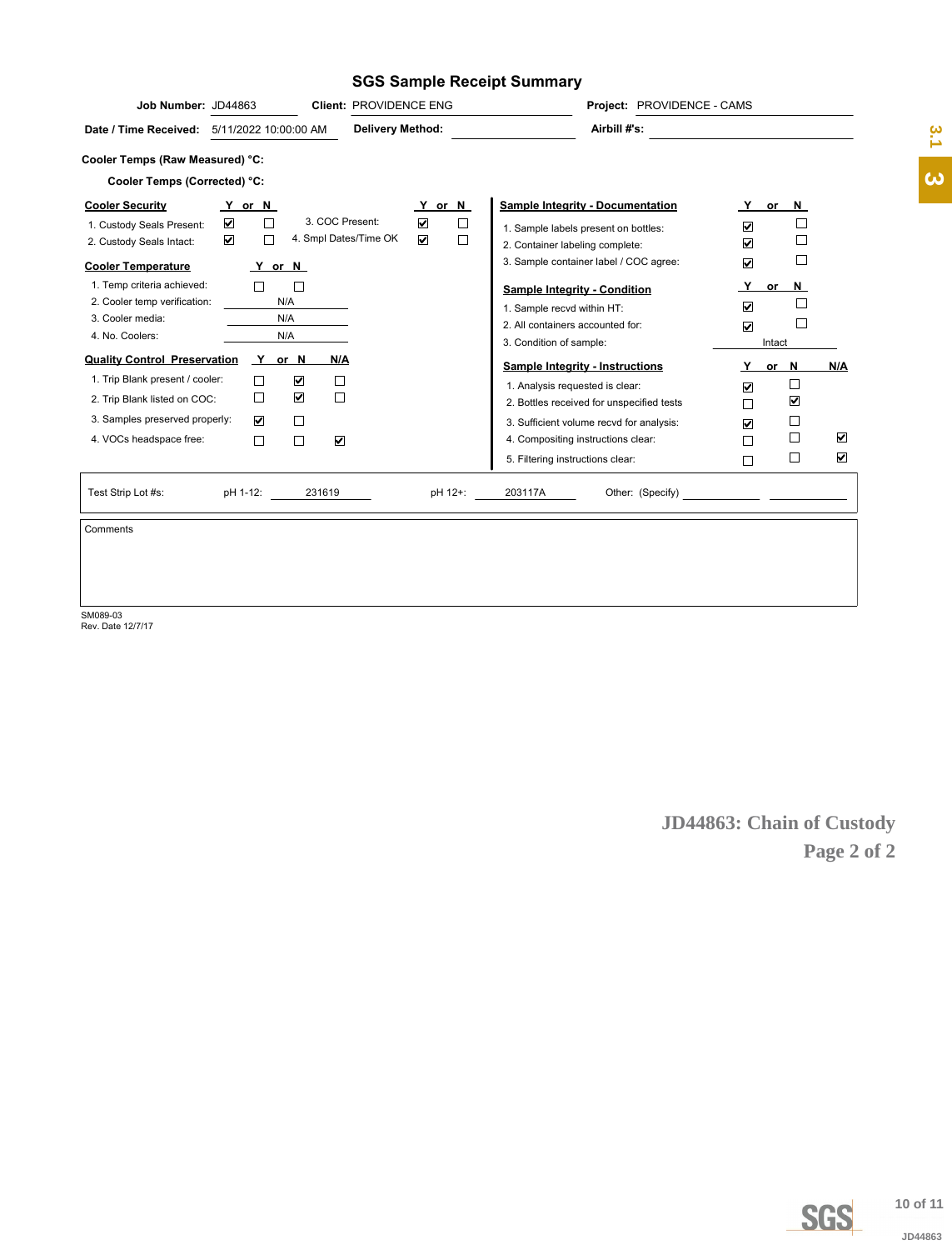### **SGS Sample Receipt Summary**

| Job Number: JD44863                                                    |                           |                      |                                                         | Client: PROVIDENCE ENG  |                                                                 |                  |                                                                                       | Project: PROVIDENCE - CAMS |                           |                                                            |                                |                      |                       |
|------------------------------------------------------------------------|---------------------------|----------------------|---------------------------------------------------------|-------------------------|-----------------------------------------------------------------|------------------|---------------------------------------------------------------------------------------|----------------------------|---------------------------|------------------------------------------------------------|--------------------------------|----------------------|-----------------------|
| Date / Time Received: 5/11/2022 10:00:00 AM                            |                           |                      |                                                         | <b>Delivery Method:</b> |                                                                 |                  |                                                                                       | Airbill #'s:               |                           |                                                            |                                |                      | 3.1                   |
| Cooler Temps (Raw Measured) °C:                                        |                           |                      |                                                         |                         |                                                                 |                  |                                                                                       |                            |                           |                                                            |                                |                      |                       |
| Cooler Temps (Corrected) °C:                                           |                           |                      |                                                         |                         |                                                                 |                  |                                                                                       |                            |                           |                                                            |                                |                      | $\boldsymbol{\omega}$ |
| <b>Cooler Security</b>                                                 | Y or N                    |                      |                                                         |                         | Y or N                                                          |                  | <b>Sample Integrity - Documentation</b>                                               |                            |                           |                                                            | <u>Y</u> or N                  |                      |                       |
| 1. Custody Seals Present:<br>2. Custody Seals Intact:                  | ☑<br>$\blacktriangledown$ | $\Box$<br>$\Box$     | 3. COC Present:                                         | 4. Smpl Dates/Time OK   | $\color{red}\blacktriangledown$<br>$\boxed{\blacktriangledown}$ | $\Box$<br>$\Box$ | 1. Sample labels present on bottles:<br>2. Container labeling complete:               |                            |                           | $\color{red}\blacktriangledown$<br>$\overline{\mathbf{v}}$ | $\Box$<br>$\Box$               |                      |                       |
| <b>Cooler Temperature</b>                                              |                           | <u>Y</u> or N        |                                                         |                         |                                                                 |                  | 3. Sample container label / COC agree:                                                |                            |                           | $\overline{\textbf{v}}$                                    | $\Box$                         |                      |                       |
| 1. Temp criteria achieved:                                             |                           | $\Box$               | $\Box$                                                  |                         |                                                                 |                  | <b>Sample Integrity - Condition</b>                                                   |                            |                           | <u>Y</u>                                                   | $or$ N                         |                      |                       |
| 2. Cooler temp verification:                                           |                           | N/A                  |                                                         |                         |                                                                 |                  | 1. Sample recvd within HT:                                                            |                            |                           | ☑                                                          | $\Box$                         |                      |                       |
| 3. Cooler media:<br>4. No. Coolers:                                    |                           | N/A<br>N/A           |                                                         |                         |                                                                 |                  | 2. All containers accounted for:                                                      |                            |                           | $\overline{\textbf{v}}$                                    | $\Box$                         |                      |                       |
|                                                                        |                           |                      |                                                         |                         |                                                                 |                  | 3. Condition of sample:                                                               |                            |                           |                                                            | Intact                         |                      |                       |
| <b>Quality Control Preservation</b><br>1. Trip Blank present / cooler: |                           | Y or N<br>$\Box$     | <u>N/A</u><br>$\color{red}\blacktriangledown$<br>$\Box$ |                         |                                                                 |                  | <b>Sample Integrity - Instructions</b>                                                |                            |                           | Y                                                          | or $N$                         | N/A                  |                       |
| 2. Trip Blank listed on COC:                                           |                           | $\Box$               | $\color{red}\blacktriangledown$<br>$\Box$               |                         |                                                                 |                  | 1. Analysis requested is clear:                                                       |                            |                           | $\overline{\mathbf{v}}$                                    | $\Box$<br>$\blacktriangledown$ |                      |                       |
| 3. Samples preserved properly:                                         |                           | $\blacktriangledown$ | $\Box$                                                  |                         |                                                                 |                  | 2. Bottles received for unspecified tests<br>3. Sufficient volume recvd for analysis: |                            |                           | $\Box$                                                     | $\Box$                         |                      |                       |
| 4. VOCs headspace free:                                                |                           | $\Box$               | $\Box$<br>$\color{red}\blacktriangledown$               |                         |                                                                 |                  | 4. Compositing instructions clear:                                                    |                            |                           | $\boxed{\blacktriangledown}$<br>□                          | $\Box$                         | $\blacktriangledown$ |                       |
|                                                                        |                           |                      |                                                         |                         |                                                                 |                  | 5. Filtering instructions clear:                                                      |                            |                           | $\Box$                                                     | $\Box$                         | $\blacktriangledown$ |                       |
|                                                                        |                           |                      |                                                         |                         |                                                                 |                  |                                                                                       |                            |                           |                                                            |                                |                      |                       |
| Test Strip Lot #s:                                                     | pH 1-12:                  |                      | 231619                                                  |                         |                                                                 | pH 12+:          | 203117A                                                                               |                            |                           |                                                            |                                |                      |                       |
| Comments                                                               |                           |                      |                                                         |                         |                                                                 |                  |                                                                                       |                            |                           |                                                            |                                |                      |                       |
|                                                                        |                           |                      |                                                         |                         |                                                                 |                  |                                                                                       |                            |                           |                                                            |                                |                      |                       |
|                                                                        |                           |                      |                                                         |                         |                                                                 |                  |                                                                                       |                            |                           |                                                            |                                |                      |                       |
|                                                                        |                           |                      |                                                         |                         |                                                                 |                  |                                                                                       |                            |                           |                                                            |                                |                      |                       |
| SM089-03<br>Rev. Date 12/7/17                                          |                           |                      |                                                         |                         |                                                                 |                  |                                                                                       |                            |                           |                                                            |                                |                      |                       |
|                                                                        |                           |                      |                                                         |                         |                                                                 |                  |                                                                                       |                            |                           |                                                            |                                |                      |                       |
|                                                                        |                           |                      |                                                         |                         |                                                                 |                  |                                                                                       |                            |                           |                                                            |                                |                      |                       |
|                                                                        |                           |                      |                                                         |                         |                                                                 |                  |                                                                                       |                            |                           |                                                            |                                |                      |                       |
|                                                                        |                           |                      |                                                         |                         |                                                                 |                  |                                                                                       |                            |                           |                                                            |                                |                      |                       |
|                                                                        |                           |                      |                                                         |                         |                                                                 |                  |                                                                                       |                            |                           |                                                            |                                |                      |                       |
|                                                                        |                           |                      |                                                         |                         |                                                                 |                  |                                                                                       |                            |                           |                                                            |                                |                      |                       |
|                                                                        |                           |                      |                                                         |                         |                                                                 |                  |                                                                                       |                            |                           |                                                            |                                |                      |                       |
|                                                                        |                           |                      |                                                         |                         |                                                                 |                  |                                                                                       |                            |                           |                                                            |                                |                      |                       |
|                                                                        |                           |                      |                                                         |                         |                                                                 |                  |                                                                                       |                            |                           |                                                            |                                |                      |                       |
|                                                                        |                           |                      |                                                         |                         |                                                                 |                  |                                                                                       |                            | JD44863: Chain of Custody |                                                            |                                |                      |                       |
|                                                                        |                           |                      |                                                         |                         |                                                                 |                  |                                                                                       |                            |                           |                                                            |                                | Page 2 of 2          |                       |
|                                                                        |                           |                      |                                                         |                         |                                                                 |                  |                                                                                       |                            |                           |                                                            |                                |                      |                       |
|                                                                        |                           |                      |                                                         |                         |                                                                 |                  |                                                                                       |                            |                           |                                                            |                                |                      |                       |
|                                                                        |                           |                      |                                                         |                         |                                                                 |                  |                                                                                       |                            |                           |                                                            |                                |                      |                       |
|                                                                        |                           |                      |                                                         |                         |                                                                 |                  |                                                                                       |                            |                           |                                                            |                                |                      |                       |
|                                                                        |                           |                      |                                                         |                         |                                                                 |                  |                                                                                       |                            |                           |                                                            |                                |                      |                       |
|                                                                        |                           |                      |                                                         |                         |                                                                 |                  |                                                                                       |                            |                           |                                                            |                                |                      |                       |
|                                                                        |                           |                      |                                                         |                         |                                                                 |                  |                                                                                       |                            |                           |                                                            |                                |                      |                       |
|                                                                        |                           |                      |                                                         |                         |                                                                 |                  |                                                                                       |                            |                           |                                                            |                                |                      |                       |
|                                                                        |                           |                      |                                                         |                         |                                                                 |                  |                                                                                       |                            |                           |                                                            |                                |                      |                       |
|                                                                        |                           |                      |                                                         |                         |                                                                 |                  |                                                                                       |                            |                           |                                                            |                                |                      |                       |
|                                                                        |                           |                      |                                                         |                         |                                                                 |                  |                                                                                       |                            |                           |                                                            |                                |                      |                       |
|                                                                        |                           |                      |                                                         |                         |                                                                 |                  |                                                                                       |                            |                           |                                                            |                                |                      |                       |
|                                                                        |                           |                      |                                                         |                         |                                                                 |                  |                                                                                       |                            |                           |                                                            |                                |                      |                       |
|                                                                        |                           |                      |                                                         |                         |                                                                 |                  |                                                                                       |                            |                           |                                                            |                                |                      |                       |
|                                                                        |                           |                      |                                                         |                         |                                                                 |                  |                                                                                       |                            |                           |                                                            |                                |                      |                       |
|                                                                        |                           |                      |                                                         |                         |                                                                 |                  |                                                                                       |                            |                           |                                                            |                                |                      |                       |
|                                                                        |                           |                      |                                                         |                         |                                                                 |                  |                                                                                       |                            |                           |                                                            |                                | <b>SGS</b>           | 10 of 11              |
|                                                                        |                           |                      |                                                         |                         |                                                                 |                  |                                                                                       |                            |                           |                                                            |                                |                      | JD44863               |
|                                                                        |                           |                      |                                                         |                         |                                                                 |                  |                                                                                       |                            |                           |                                                            |                                |                      |                       |